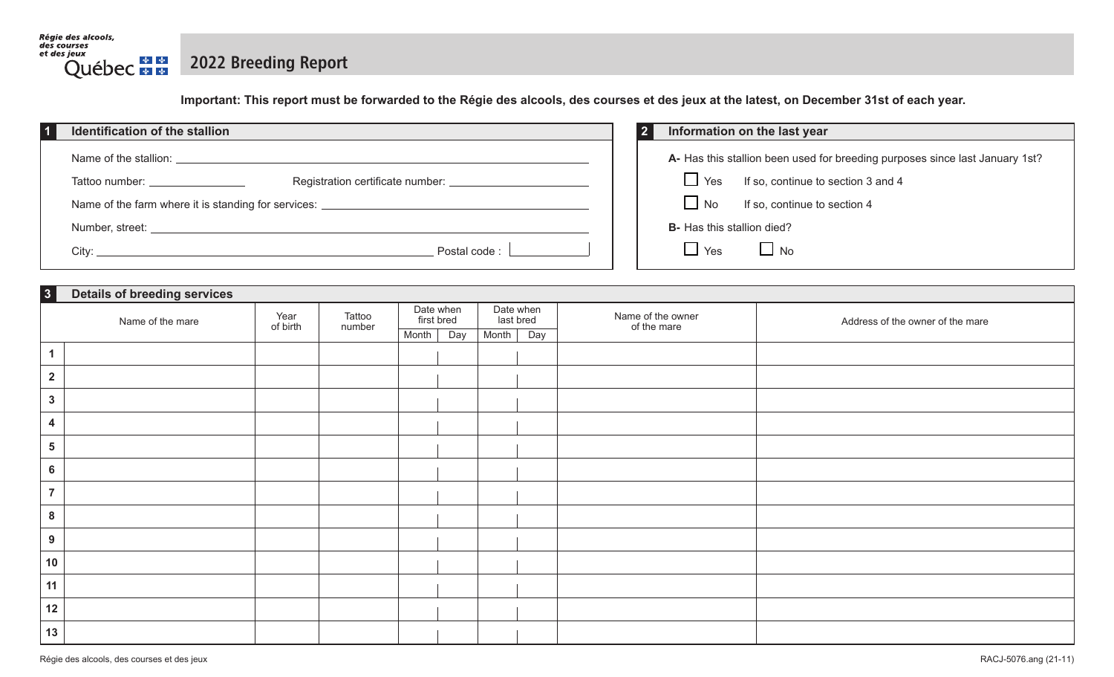

## 2022 Breeding Report

Important: This report must be forwarded to the Régie des alcools, des courses et des jeux at the latest, on December 31st of each year.

| Identification of the stallion                                                   | Information on the last year                                                 |
|----------------------------------------------------------------------------------|------------------------------------------------------------------------------|
| Name of the stallion:                                                            | A- Has this stallion been used for breeding purposes since last January 1st? |
| Tattoo number: Tattoo number:                                                    | If so, continue to section 3 and 4<br>$\Box$ Yes                             |
| Name of the farm where it is standing for services: ____________________________ | $\Box$ No<br>If so, continue to section 4                                    |
| Number, street: _                                                                | <b>B</b> - Has this stallion died?                                           |
| Postal code:                                                                     | $\Box$ Yes<br>$\Box$ No                                                      |

| 3                       | <b>Details of breeding services</b> |                  |                  |                         |                        |                                  |                                  |  |  |
|-------------------------|-------------------------------------|------------------|------------------|-------------------------|------------------------|----------------------------------|----------------------------------|--|--|
|                         | Name of the mare                    | Year<br>of birth | Tattoo<br>number | Date when<br>first bred | Date when<br>last bred | Name of the owner<br>of the mare | Address of the owner of the mare |  |  |
|                         |                                     |                  |                  | Month<br>Day            | Month<br>Day           |                                  |                                  |  |  |
| $\blacktriangleleft$    |                                     |                  |                  |                         |                        |                                  |                                  |  |  |
| $\overline{2}$          |                                     |                  |                  |                         |                        |                                  |                                  |  |  |
| $\mathbf{3}$            |                                     |                  |                  |                         |                        |                                  |                                  |  |  |
| 4                       |                                     |                  |                  |                         |                        |                                  |                                  |  |  |
| $\overline{\mathbf{5}}$ |                                     |                  |                  |                         |                        |                                  |                                  |  |  |
| $6\phantom{a}$          |                                     |                  |                  |                         |                        |                                  |                                  |  |  |
| $\overline{7}$          |                                     |                  |                  |                         |                        |                                  |                                  |  |  |
| 8                       |                                     |                  |                  |                         |                        |                                  |                                  |  |  |
| 9                       |                                     |                  |                  |                         |                        |                                  |                                  |  |  |
| 10                      |                                     |                  |                  |                         |                        |                                  |                                  |  |  |
| 11                      |                                     |                  |                  |                         |                        |                                  |                                  |  |  |
| 12                      |                                     |                  |                  |                         |                        |                                  |                                  |  |  |
| 13                      |                                     |                  |                  |                         |                        |                                  |                                  |  |  |